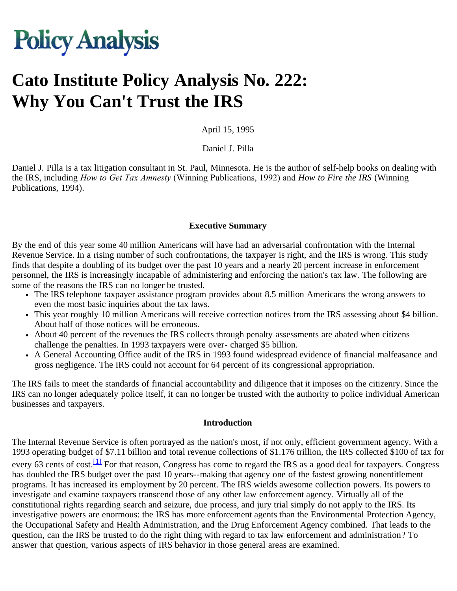# **Policy Analysis**

# **Cato Institute Policy Analysis No. 222: Why You Can't Trust the IRS**

April 15, 1995

Daniel J. Pilla

Daniel J. Pilla is a tax litigation consultant in St. Paul, Minnesota. He is the author of self-help books on dealing with the IRS, including *How to Get Tax Amnesty* (Winning Publications, 1992) and *How to Fire the IRS* (Winning Publications, 1994).

#### **Executive Summary**

By the end of this year some 40 million Americans will have had an adversarial confrontation with the Internal Revenue Service. In a rising number of such confrontations, the taxpayer is right, and the IRS is wrong. This study finds that despite a doubling of its budget over the past 10 years and a nearly 20 percent increase in enforcement personnel, the IRS is increasingly incapable of administering and enforcing the nation's tax law. The following are some of the reasons the IRS can no longer be trusted.

- The IRS telephone taxpayer assistance program provides about 8.5 million Americans the wrong answers to even the most basic inquiries about the tax laws.
- This year roughly 10 million Americans will receive correction notices from the IRS assessing about \$4 billion. About half of those notices will be erroneous.
- About 40 percent of the revenues the IRS collects through penalty assessments are abated when citizens challenge the penalties. In 1993 taxpayers were over- charged \$5 billion.
- A General Accounting Office audit of the IRS in 1993 found widespread evidence of financial malfeasance and gross negligence. The IRS could not account for 64 percent of its congressional appropriation.

The IRS fails to meet the standards of financial accountability and diligence that it imposes on the citizenry. Since the IRS can no longer adequately police itself, it can no longer be trusted with the authority to police individual American businesses and taxpayers.

#### **Introduction**

<span id="page-0-0"></span>The Internal Revenue Service is often portrayed as the nation's most, if not only, efficient government agency. With a 1993 operating budget of \$7.11 billion and total revenue collections of \$1.176 trillion, the IRS collected \$100 of tax for every 63 cents of cost.<sup>[1]</sup> For that reason, Congress has come to regard the IRS as a good deal for taxpayers. Congress has doubled the IRS budget over the past 10 years--making that agency one of the fastest growing nonentitlement programs. It has increased its employment by 20 percent. The IRS wields awesome collection powers. Its powers to investigate and examine taxpayers transcend those of any other law enforcement agency. Virtually all of the constitutional rights regarding search and seizure, due process, and jury trial simply do not apply to the IRS. Its investigative powers are enormous: the IRS has more enforcement agents than the Environmental Protection Agency, the Occupational Safety and Health Administration, and the Drug Enforcement Agency combined. That leads to the question, can the IRS be trusted to do the right thing with regard to tax law enforcement and administration? To answer that question, various aspects of IRS behavior in those general areas are examined.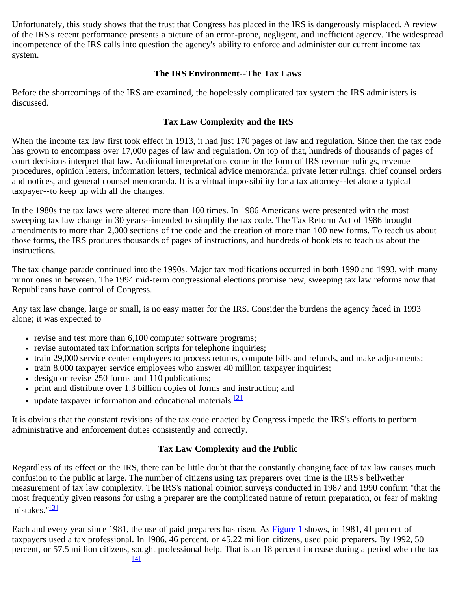Unfortunately, this study shows that the trust that Congress has placed in the IRS is dangerously misplaced. A review of the IRS's recent performance presents a picture of an error-prone, negligent, and inefficient agency. The widespread incompetence of the IRS calls into question the agency's ability to enforce and administer our current income tax system.

#### **The IRS Environment--The Tax Laws**

Before the shortcomings of the IRS are examined, the hopelessly complicated tax system the IRS administers is discussed.

#### **Tax Law Complexity and the IRS**

When the income tax law first took effect in 1913, it had just 170 pages of law and regulation. Since then the tax code has grown to encompass over 17,000 pages of law and regulation. On top of that, hundreds of thousands of pages of court decisions interpret that law. Additional interpretations come in the form of IRS revenue rulings, revenue procedures, opinion letters, information letters, technical advice memoranda, private letter rulings, chief counsel orders and notices, and general counsel memoranda. It is a virtual impossibility for a tax attorney--let alone a typical taxpayer--to keep up with all the changes.

In the 1980s the tax laws were altered more than 100 times. In 1986 Americans were presented with the most sweeping tax law change in 30 years--intended to simplify the tax code. The Tax Reform Act of 1986 brought amendments to more than 2,000 sections of the code and the creation of more than 100 new forms. To teach us about those forms, the IRS produces thousands of pages of instructions, and hundreds of booklets to teach us about the instructions.

The tax change parade continued into the 1990s. Major tax modifications occurred in both 1990 and 1993, with many minor ones in between. The 1994 mid-term congressional elections promise new, sweeping tax law reforms now that Republicans have control of Congress.

Any tax law change, large or small, is no easy matter for the IRS. Consider the burdens the agency faced in 1993 alone; it was expected to

- $\cdot$  revise and test more than 6,100 computer software programs;
- revise automated tax information scripts for telephone inquiries;
- train 29,000 service center employees to process returns, compute bills and refunds, and make adjustments;
- train 8,000 taxpayer service employees who answer 40 million taxpayer inquiries;
- design or revise 250 forms and 110 publications;
- print and distribute over 1.3 billion copies of forms and instruction; and
- update taxpayer information and educational materials.<sup>[\[2\]](#page-14-1)</sup>

<span id="page-1-0"></span>It is obvious that the constant revisions of the tax code enacted by Congress impede the IRS's efforts to perform administrative and enforcement duties consistently and correctly.

# **Tax Law Complexity and the Public**

Regardless of its effect on the IRS, there can be little doubt that the constantly changing face of tax law causes much confusion to the public at large. The number of citizens using tax preparers over time is the IRS's bellwether measurement of tax law complexity. The IRS's national opinion surveys conducted in 1987 and 1990 confirm "that the most frequently given reasons for using a preparer are the complicated nature of return preparation, or fear of making mistakes."<sup>[\[3\]](#page-14-2)</sup>

<span id="page-1-1"></span>Each and every year since 1981, the use of paid preparers has risen. As **Figure 1** shows, in 1981, 41 percent of taxpayers used a tax professional. In 1986, 46 percent, or 45.22 million citizens, used paid preparers. By 1992, 50 percent, or 57.5 million citizens, sought professional help. That is an 18 percent increase during a period when the tax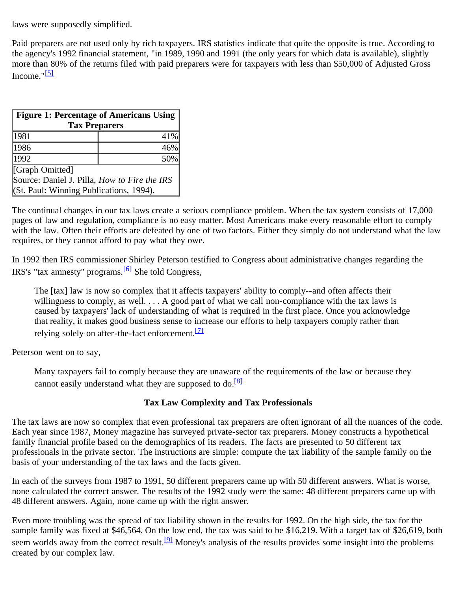<span id="page-2-1"></span>laws were supposedly simplified.

<span id="page-2-2"></span>Paid preparers are not used only by rich taxpayers. IRS statistics indicate that quite the opposite is true. According to the agency's 1992 financial statement, "in 1989, 1990 and 1991 (the only years for which data is available), slightly more than 80% of the returns filed with paid preparers were for taxpayers with less than \$50,000 of Adjusted Gross Income." $5$ ]

<span id="page-2-0"></span>

| Figure 1: Percentage of Americans Using  <br><b>Tax Preparers</b> |     |  |
|-------------------------------------------------------------------|-----|--|
| 1981                                                              | 41% |  |
| 1986                                                              | 46% |  |
| 1992                                                              | 50% |  |
| [Graph Omitted]                                                   |     |  |
| Source: Daniel J. Pilla, How to Fire the IRS                      |     |  |
| [(St. Paul: Winning Publications, 1994).                          |     |  |

The continual changes in our tax laws create a serious compliance problem. When the tax system consists of 17,000 pages of law and regulation, compliance is no easy matter. Most Americans make every reasonable effort to comply with the law. Often their efforts are defeated by one of two factors. Either they simply do not understand what the law requires, or they cannot afford to pay what they owe.

<span id="page-2-3"></span>In 1992 then IRS commissioner Shirley Peterson testified to Congress about administrative changes regarding the IRS's "tax amnesty" programs.[\[6\]](#page-14-5) She told Congress,

The [tax] law is now so complex that it affects taxpayers' ability to comply--and often affects their willingness to comply, as well. . . . A good part of what we call non-compliance with the tax laws is caused by taxpayers' lack of understanding of what is required in the first place. Once you acknowledge that reality, it makes good business sense to increase our efforts to help taxpayers comply rather than relying solely on after-the-fact enforcement.<sup>[\[7\]](#page-14-6)</sup>

<span id="page-2-5"></span><span id="page-2-4"></span>Peterson went on to say,

Many taxpayers fail to comply because they are unaware of the requirements of the law or because they cannot easily understand what they are supposed to do.<sup>[\[8\]](#page-14-7)</sup>

# **Tax Law Complexity and Tax Professionals**

The tax laws are now so complex that even professional tax preparers are often ignorant of all the nuances of the code. Each year since 1987, Money magazine has surveyed private-sector tax preparers. Money constructs a hypothetical family financial profile based on the demographics of its readers. The facts are presented to 50 different tax professionals in the private sector. The instructions are simple: compute the tax liability of the sample family on the basis of your understanding of the tax laws and the facts given.

In each of the surveys from 1987 to 1991, 50 different preparers came up with 50 different answers. What is worse, none calculated the correct answer. The results of the 1992 study were the same: 48 different preparers came up with 48 different answers. Again, none came up with the right answer.

<span id="page-2-6"></span>Even more troubling was the spread of tax liability shown in the results for 1992. On the high side, the tax for the sample family was fixed at \$46,564. On the low end, the tax was said to be \$16,219. With a target tax of \$26,619, both seem worlds away from the correct result.<sup>[\[9\]](#page-14-8)</sup> Money's analysis of the results provides some insight into the problems created by our complex law.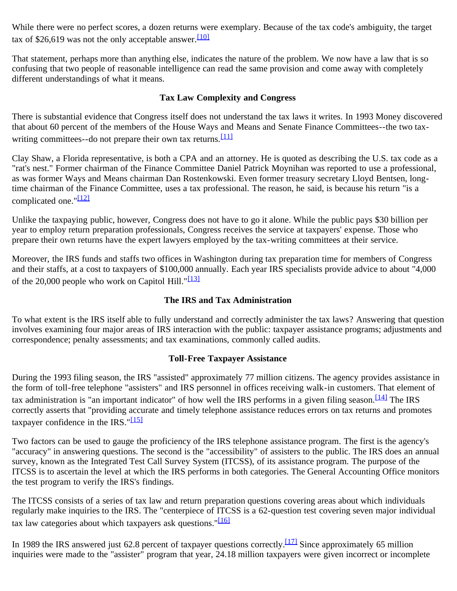<span id="page-3-0"></span>While there were no perfect scores, a dozen returns were exemplary. Because of the tax code's ambiguity, the target tax of \$26,619 was not the only acceptable answer.  $\frac{1101}{100}$ 

That statement, perhaps more than anything else, indicates the nature of the problem. We now have a law that is so confusing that two people of reasonable intelligence can read the same provision and come away with completely different understandings of what it means.

#### **Tax Law Complexity and Congress**

<span id="page-3-1"></span>There is substantial evidence that Congress itself does not understand the tax laws it writes. In 1993 Money discovered that about 60 percent of the members of the House Ways and Means and Senate Finance Committees--the two tax-writing committees--do not prepare their own tax returns.<sup>[\[11\]](#page-14-10)</sup>

Clay Shaw, a Florida representative, is both a CPA and an attorney. He is quoted as describing the U.S. tax code as a "rat's nest." Former chairman of the Finance Committee Daniel Patrick Moynihan was reported to use a professional, as was former Ways and Means chairman Dan Rostenkowski. Even former treasury secretary Lloyd Bentsen, longtime chairman of the Finance Committee, uses a tax professional. The reason, he said, is because his return "is a complicated one." $\frac{12}{2}$ 

<span id="page-3-2"></span>Unlike the taxpaying public, however, Congress does not have to go it alone. While the public pays \$30 billion per year to employ return preparation professionals, Congress receives the service at taxpayers' expense. Those who prepare their own returns have the expert lawyers employed by the tax-writing committees at their service.

<span id="page-3-3"></span>Moreover, the IRS funds and staffs two offices in Washington during tax preparation time for members of Congress and their staffs, at a cost to taxpayers of \$100,000 annually. Each year IRS specialists provide advice to about "4,000 of the 20,000 people who work on Capitol Hill."<sup>[\[13\]](#page-14-12)</sup>

# **The IRS and Tax Administration**

To what extent is the IRS itself able to fully understand and correctly administer the tax laws? Answering that question involves examining four major areas of IRS interaction with the public: taxpayer assistance programs; adjustments and correspondence; penalty assessments; and tax examinations, commonly called audits.

#### **Toll-Free Taxpayer Assistance**

<span id="page-3-4"></span>During the 1993 filing season, the IRS "assisted" approximately 77 million citizens. The agency provides assistance in the form of toll-free telephone "assisters" and IRS personnel in offices receiving walk-in customers. That element of tax administration is "an important indicator" of how well the IRS performs in a given filing season.  $\frac{1141}{116}$  The IRS correctly asserts that "providing accurate and timely telephone assistance reduces errors on tax returns and promotes taxpayer confidence in the IRS." $\frac{[15]}{]}$  $\frac{[15]}{]}$  $\frac{[15]}{]}$ 

<span id="page-3-5"></span>Two factors can be used to gauge the proficiency of the IRS telephone assistance program. The first is the agency's "accuracy" in answering questions. The second is the "accessibility" of assisters to the public. The IRS does an annual survey, known as the Integrated Test Call Survey System (ITCSS), of its assistance program. The purpose of the ITCSS is to ascertain the level at which the IRS performs in both categories. The General Accounting Office monitors the test program to verify the IRS's findings.

<span id="page-3-6"></span>The ITCSS consists of a series of tax law and return preparation questions covering areas about which individuals regularly make inquiries to the IRS. The "centerpiece of ITCSS is a 62-question test covering seven major individual tax law categories about which taxpayers ask questions." $[16]$ 

<span id="page-3-7"></span>In 1989 the IRS answered just 62.8 percent of taxpayer questions correctly.<sup>[17]</sup> Since approximately 65 million inquiries were made to the "assister" program that year, 24.18 million taxpayers were given incorrect or incomplete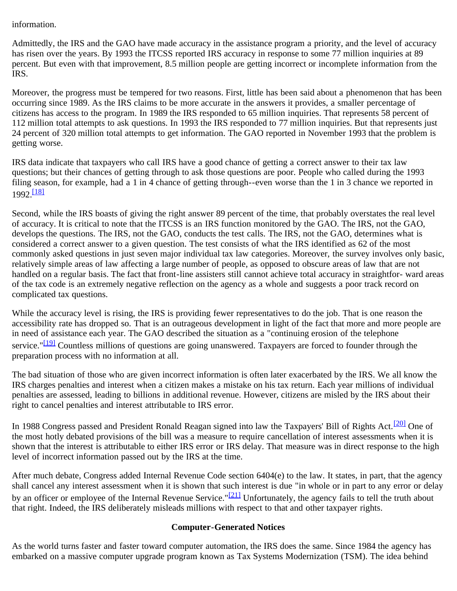# information.

Admittedly, the IRS and the GAO have made accuracy in the assistance program a priority, and the level of accuracy has risen over the years. By 1993 the ITCSS reported IRS accuracy in response to some 77 million inquiries at 89 percent. But even with that improvement, 8.5 million people are getting incorrect or incomplete information from the IRS.

Moreover, the progress must be tempered for two reasons. First, little has been said about a phenomenon that has been occurring since 1989. As the IRS claims to be more accurate in the answers it provides, a smaller percentage of citizens has access to the program. In 1989 the IRS responded to 65 million inquiries. That represents 58 percent of 112 million total attempts to ask questions. In 1993 the IRS responded to 77 million inquiries. But that represents just 24 percent of 320 million total attempts to get information. The GAO reported in November 1993 that the problem is getting worse.

IRS data indicate that taxpayers who call IRS have a good chance of getting a correct answer to their tax law questions; but their chances of getting through to ask those questions are poor. People who called during the 1993 filing season, for example, had a 1 in 4 chance of getting through--even worse than the 1 in 3 chance we reported in 1992.<sup>[\[18\]](#page-14-17)</sup>

<span id="page-4-0"></span>Second, while the IRS boasts of giving the right answer 89 percent of the time, that probably overstates the real level of accuracy. It is critical to note that the ITCSS is an IRS function monitored by the GAO. The IRS, not the GAO, develops the questions. The IRS, not the GAO, conducts the test calls. The IRS, not the GAO, determines what is considered a correct answer to a given question. The test consists of what the IRS identified as 62 of the most commonly asked questions in just seven major individual tax law categories. Moreover, the survey involves only basic, relatively simple areas of law affecting a large number of people, as opposed to obscure areas of law that are not handled on a regular basis. The fact that front-line assisters still cannot achieve total accuracy in straightfor- ward areas of the tax code is an extremely negative reflection on the agency as a whole and suggests a poor track record on complicated tax questions.

<span id="page-4-1"></span>While the accuracy level is rising, the IRS is providing fewer representatives to do the job. That is one reason the accessibility rate has dropped so. That is an outrageous development in light of the fact that more and more people are in need of assistance each year. The GAO described the situation as a "continuing erosion of the telephone service."<sup>[19]</sup> Countless millions of questions are going unanswered. Taxpayers are forced to founder through the preparation process with no information at all.

The bad situation of those who are given incorrect information is often later exacerbated by the IRS. We all know the IRS charges penalties and interest when a citizen makes a mistake on his tax return. Each year millions of individual penalties are assessed, leading to billions in additional revenue. However, citizens are misled by the IRS about their right to cancel penalties and interest attributable to IRS error.

<span id="page-4-2"></span>In 1988 Congress passed and President Ronald Reagan signed into law the Taxpayers' Bill of Rights Act.<sup>[20]</sup> One of the most hotly debated provisions of the bill was a measure to require cancellation of interest assessments when it is shown that the interest is attributable to either IRS error or IRS delay. That measure was in direct response to the high level of incorrect information passed out by the IRS at the time.

<span id="page-4-3"></span>After much debate, Congress added Internal Revenue Code section 6404(e) to the law. It states, in part, that the agency shall cancel any interest assessment when it is shown that such interest is due "in whole or in part to any error or delay by an officer or employee of the Internal Revenue Service."<sup>[21]</sup> Unfortunately, the agency fails to tell the truth about that right. Indeed, the IRS deliberately misleads millions with respect to that and other taxpayer rights.

# **Computer-Generated Notices**

As the world turns faster and faster toward computer automation, the IRS does the same. Since 1984 the agency has embarked on a massive computer upgrade program known as Tax Systems Modernization (TSM). The idea behind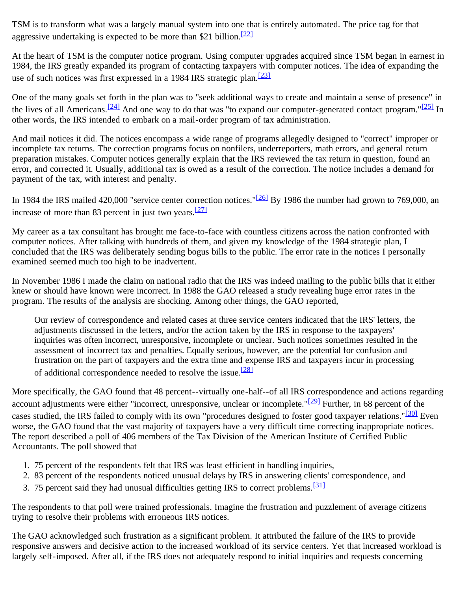<span id="page-5-0"></span>TSM is to transform what was a largely manual system into one that is entirely automated. The price tag for that aggressive undertaking is expected to be more than \$21 billion.<sup>[\[22\]](#page-14-21)</sup>

<span id="page-5-1"></span>At the heart of TSM is the computer notice program. Using computer upgrades acquired since TSM began in earnest in 1984, the IRS greatly expanded its program of contacting taxpayers with computer notices. The idea of expanding the use of such notices was first expressed in a 1984 IRS strategic plan.<sup>[\[23\]](#page-15-0)</sup>

<span id="page-5-2"></span>One of the many goals set forth in the plan was to "seek additional ways to create and maintain a sense of presence" in the lives of all Americans.<sup>[24]</sup> And one way to do that was "to expand our computer-generated contact program."<sup>[25]</sup> In other words, the IRS intended to embark on a mail-order program of tax administration.

And mail notices it did. The notices encompass a wide range of programs allegedly designed to "correct" improper or incomplete tax returns. The correction programs focus on nonfilers, underreporters, math errors, and general return preparation mistakes. Computer notices generally explain that the IRS reviewed the tax return in question, found an error, and corrected it. Usually, additional tax is owed as a result of the correction. The notice includes a demand for payment of the tax, with interest and penalty.

<span id="page-5-4"></span><span id="page-5-3"></span>In 1984 the IRS mailed 420,000 "service center correction notices."<sup>[26]</sup> By 1986 the number had grown to 769,000, an increase of more than 83 percent in just two years.<sup>[\[27\]](#page-15-4)</sup>

My career as a tax consultant has brought me face-to-face with countless citizens across the nation confronted with computer notices. After talking with hundreds of them, and given my knowledge of the 1984 strategic plan, I concluded that the IRS was deliberately sending bogus bills to the public. The error rate in the notices I personally examined seemed much too high to be inadvertent.

In November 1986 I made the claim on national radio that the IRS was indeed mailing to the public bills that it either knew or should have known were incorrect. In 1988 the GAO released a study revealing huge error rates in the program. The results of the analysis are shocking. Among other things, the GAO reported,

Our review of correspondence and related cases at three service centers indicated that the IRS' letters, the adjustments discussed in the letters, and/or the action taken by the IRS in response to the taxpayers' inquiries was often incorrect, unresponsive, incomplete or unclear. Such notices sometimes resulted in the assessment of incorrect tax and penalties. Equally serious, however, are the potential for confusion and frustration on the part of taxpayers and the extra time and expense IRS and taxpayers incur in processing of additional correspondence needed to resolve the issue.<sup>[\[28\]](#page-15-5)</sup>

<span id="page-5-7"></span><span id="page-5-6"></span><span id="page-5-5"></span>More specifically, the GAO found that 48 percent--virtually one-half--of all IRS correspondence and actions regarding account adjustments were either "incorrect, unresponsive, unclear or incomplete."<sup>[29]</sup> Further, in 68 percent of the cases studied, the IRS failed to comply with its own "procedures designed to foster good taxpayer relations."<sup>[30]</sup> Even worse, the GAO found that the vast majority of taxpayers have a very difficult time correcting inappropriate notices. The report described a poll of 406 members of the Tax Division of the American Institute of Certified Public Accountants. The poll showed that

- 1. 75 percent of the respondents felt that IRS was least efficient in handling inquiries,
- 2. 83 percent of the respondents noticed unusual delays by IRS in answering clients' correspondence, and
- <span id="page-5-8"></span>3. 75 percent said they had unusual difficulties getting IRS to correct problems.<sup>[\[31\]](#page-15-8)</sup>

The respondents to that poll were trained professionals. Imagine the frustration and puzzlement of average citizens trying to resolve their problems with erroneous IRS notices.

The GAO acknowledged such frustration as a significant problem. It attributed the failure of the IRS to provide responsive answers and decisive action to the increased workload of its service centers. Yet that increased workload is largely self-imposed. After all, if the IRS does not adequately respond to initial inquiries and requests concerning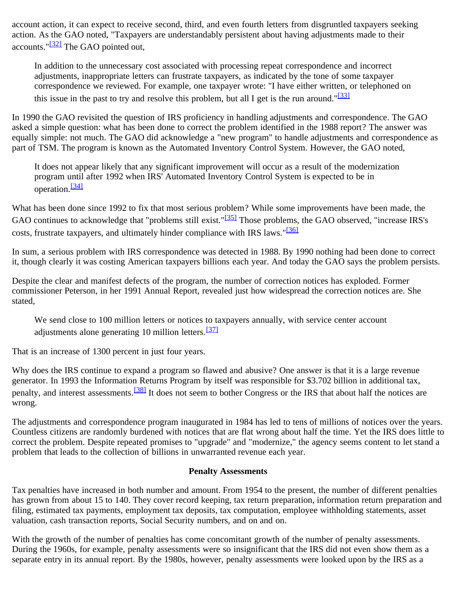<span id="page-6-0"></span>account action, it can expect to receive second, third, and even fourth letters from disgruntled taxpayers seeking action. As the GAO noted, "Taxpayers are understandably persistent about having adjustments made to their accounts." $\frac{[32]}{]}$  The GAO pointed out,

In addition to the unnecessary cost associated with processing repeat correspondence and incorrect adjustments, inappropriate letters can frustrate taxpayers, as indicated by the tone of some taxpayer correspondence we reviewed. For example, one taxpayer wrote: "I have either written, or telephoned on this issue in the past to try and resolve this problem, but all I get is the run around." $\frac{331}{231}$ 

<span id="page-6-1"></span>In 1990 the GAO revisited the question of IRS proficiency in handling adjustments and correspondence. The GAO asked a simple question: what has been done to correct the problem identified in the 1988 report? The answer was equally simple: not much. The GAO did acknowledge a "new program" to handle adjustments and correspondence as part of TSM. The program is known as the Automated Inventory Control System. However, the GAO noted,

It does not appear likely that any significant improvement will occur as a result of the modernization program until after 1992 when IRS' Automated Inventory Control System is expected to be in operation.<sup>[\[34\]](#page-15-11)</sup>

<span id="page-6-3"></span><span id="page-6-2"></span>What has been done since 1992 to fix that most serious problem? While some improvements have been made, the GAO continues to acknowledge that "problems still exist."<sup>[35]</sup> Those problems, the GAO observed, "increase IRS's costs, frustrate taxpayers, and ultimately hinder compliance with IRS laws."<sup>[\[36\]](#page-15-13)</sup>

<span id="page-6-4"></span>In sum, a serious problem with IRS correspondence was detected in 1988. By 1990 nothing had been done to correct it, though clearly it was costing American taxpayers billions each year. And today the GAO says the problem persists.

Despite the clear and manifest defects of the program, the number of correction notices has exploded. Former commissioner Peterson, in her 1991 Annual Report, revealed just how widespread the correction notices are. She stated,

We send close to 100 million letters or notices to taxpayers annually, with service center account adjustments alone generating 10 million letters.[\[37\]](#page-15-14)

<span id="page-6-5"></span>That is an increase of 1300 percent in just four years.

<span id="page-6-6"></span>Why does the IRS continue to expand a program so flawed and abusive? One answer is that it is a large revenue generator. In 1993 the Information Returns Program by itself was responsible for \$3.702 billion in additional tax, penalty, and interest assessments.<sup>[38]</sup> It does not seem to bother Congress or the IRS that about half the notices are wrong.

The adjustments and correspondence program inaugurated in 1984 has led to tens of millions of notices over the years. Countless citizens are randomly burdened with notices that are flat wrong about half the time. Yet the IRS does little to correct the problem. Despite repeated promises to "upgrade" and "modernize," the agency seems content to let stand a problem that leads to the collection of billions in unwarranted revenue each year.

#### **Penalty Assessments**

Tax penalties have increased in both number and amount. From 1954 to the present, the number of different penalties has grown from about 15 to 140. They cover record keeping, tax return preparation, information return preparation and filing, estimated tax payments, employment tax deposits, tax computation, employee withholding statements, asset valuation, cash transaction reports, Social Security numbers, and on and on.

With the growth of the number of penalties has come concomitant growth of the number of penalty assessments. During the 1960s, for example, penalty assessments were so insignificant that the IRS did not even show them as a separate entry in its annual report. By the 1980s, however, penalty assessments were looked upon by the IRS as a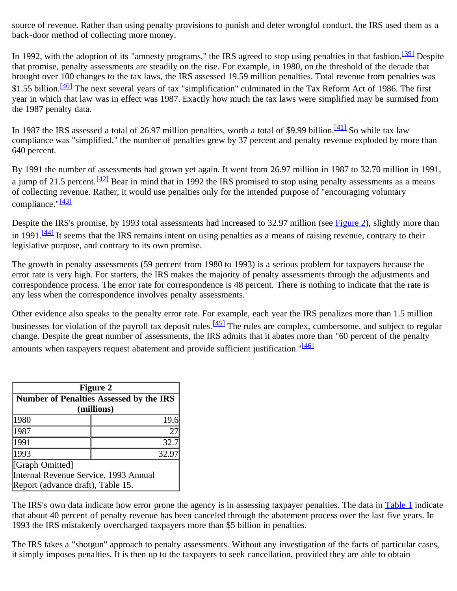source of revenue. Rather than using penalty provisions to punish and deter wrongful conduct, the IRS used them as a back-door method of collecting more money.

<span id="page-7-2"></span><span id="page-7-1"></span>In 1992, with the adoption of its "amnesty programs," the IRS agreed to stop using penalties in that fashion.<sup>[39]</sup> Despite that promise, penalty assessments are steadily on the rise. For example, in 1980, on the threshold of the decade that brought over 100 changes to the tax laws, the IRS assessed 19.59 million penalties. Total revenue from penalties was \$1.55 billion.<sup>[40]</sup> The next several years of tax "simplification" culminated in the Tax Reform Act of 1986. The first year in which that law was in effect was 1987. Exactly how much the tax laws were simplified may be surmised from the 1987 penalty data.

<span id="page-7-3"></span>In 1987 the IRS assessed a total of 26.97 million penalties, worth a total of \$9.99 billion.<sup>[41]</sup> So while tax law compliance was "simplified," the number of penalties grew by 37 percent and penalty revenue exploded by more than 640 percent.

<span id="page-7-4"></span>By 1991 the number of assessments had grown yet again. It went from 26.97 million in 1987 to 32.70 million in 1991, a jump of 21.5 percent.  $\frac{[42]}{[42]}$  Bear in mind that in 1992 the IRS promised to stop using penalty assessments as a means of collecting revenue. Rather, it would use penalties only for the intended purpose of "encouraging voluntary compliance."<sup>[\[43\]](#page-15-20)</sup>

<span id="page-7-6"></span><span id="page-7-5"></span>Despite the IRS's promise, by 1993 total assessments had increased to 32.97 million (see [Figure 2\)](#page-7-0), slightly more than in 1991. $\frac{[44]}{[44]}$  It seems that the IRS remains intent on using penalties as a means of raising revenue, contrary to their legislative purpose, and contrary to its own promise.

The growth in penalty assessments (59 percent from 1980 to 1993) is a serious problem for taxpayers because the error rate is very high. For starters, the IRS makes the majority of penalty assessments through the adjustments and correspondence process. The error rate for correspondence is 48 percent. There is nothing to indicate that the rate is any less when the correspondence involves penalty assessments.

<span id="page-7-8"></span><span id="page-7-7"></span>Other evidence also speaks to the penalty error rate. For example, each year the IRS penalizes more than 1.5 million businesses for violation of the payroll tax deposit rules.<sup>[45]</sup> The rules are complex, cumbersome, and subject to regular change. Despite the great number of assessments, the IRS admits that it abates more than "60 percent of the penalty amounts when taxpayers request abatement and provide sufficient justification."<sup>[\[46\]](#page-15-23)</sup>

<span id="page-7-0"></span>

| <b>Figure 2</b>                                       |       |  |  |  |
|-------------------------------------------------------|-------|--|--|--|
| Number of Penalties Assessed by the IRS<br>(millions) |       |  |  |  |
|                                                       |       |  |  |  |
| 1987                                                  | 27    |  |  |  |
| 1991                                                  | 32.7  |  |  |  |
| 1993                                                  | 32.97 |  |  |  |
| [Graph Omitted]                                       |       |  |  |  |
| Internal Revenue Service, 1993 Annual                 |       |  |  |  |
| Report (advance draft), Table 15.                     |       |  |  |  |

The IRS's own data indicate how error prone the agency is in assessing taxpayer penalties. The data in Table 1 indicate that about 40 percent of penalty revenue has been canceled through the abatement process over the last five years. In 1993 the IRS mistakenly overcharged taxpayers more than \$5 billion in penalties.

The IRS takes a "shotgun" approach to penalty assessments. Without any investigation of the facts of particular cases, it simply imposes penalties. It is then up to the taxpayers to seek cancellation, provided they are able to obtain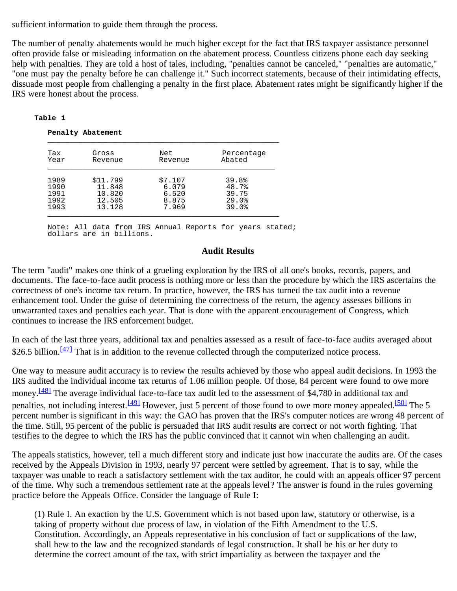sufficient information to guide them through the process.

The number of penalty abatements would be much higher except for the fact that IRS taxpayer assistance personnel often provide false or misleading information on the abatement process. Countless citizens phone each day seeking help with penalties. They are told a host of tales, including, "penalties cannot be canceled," "penalties are automatic," "one must pay the penalty before he can challenge it." Such incorrect statements, because of their intimidating effects, dissuade most people from challenging a penalty in the first place. Abatement rates might be significantly higher if the IRS were honest about the process.

#### **Table 1**

 **Penalty Abatement**

| Tax<br>Year | Gross<br>Revenue | Net<br>Revenue | Percentage<br>Abated |
|-------------|------------------|----------------|----------------------|
| 1989        | \$11.799         | \$7.107        | 39.8%                |
| 1990        | 11.848           | 6.079          | 48.7%                |
| 1991        | 10.820           | 6.520          | 39.75                |
| 1992        | 12.505           | 8.875          | 29.0%                |
| 1993        | 13.128           | 7.969          | 39.0%                |

 Note: All data from IRS Annual Reports for years stated; dollars are in billions.

#### **Audit Results**

The term "audit" makes one think of a grueling exploration by the IRS of all one's books, records, papers, and documents. The face-to-face audit process is nothing more or less than the procedure by which the IRS ascertains the correctness of one's income tax return. In practice, however, the IRS has turned the tax audit into a revenue enhancement tool. Under the guise of determining the correctness of the return, the agency assesses billions in unwarranted taxes and penalties each year. That is done with the apparent encouragement of Congress, which continues to increase the IRS enforcement budget.

<span id="page-8-0"></span>In each of the last three years, additional tax and penalties assessed as a result of face-to-face audits averaged about \$26.5 billion.<sup>[47]</sup> That is in addition to the revenue collected through the computerized notice process.

<span id="page-8-2"></span><span id="page-8-1"></span>One way to measure audit accuracy is to review the results achieved by those who appeal audit decisions. In 1993 the IRS audited the individual income tax returns of 1.06 million people. Of those, 84 percent were found to owe more money.<sup>[48]</sup> The average individual face-to-face tax audit led to the assessment of \$4,780 in additional tax and penalties, not including interest.<sup>[49]</sup> However, just 5 percent of those found to owe more money appealed.<sup>[50]</sup> The 5 percent number is significant in this way: the GAO has proven that the IRS's computer notices are wrong 48 percent of the time. Still, 95 percent of the public is persuaded that IRS audit results are correct or not worth fighting. That testifies to the degree to which the IRS has the public convinced that it cannot win when challenging an audit.

The appeals statistics, however, tell a much different story and indicate just how inaccurate the audits are. Of the cases received by the Appeals Division in 1993, nearly 97 percent were settled by agreement. That is to say, while the taxpayer was unable to reach a satisfactory settlement with the tax auditor, he could with an appeals officer 97 percent of the time. Why such a tremendous settlement rate at the appeals level? The answer is found in the rules governing practice before the Appeals Office. Consider the language of Rule I:

(1) Rule I. An exaction by the U.S. Government which is not based upon law, statutory or otherwise, is a taking of property without due process of law, in violation of the Fifth Amendment to the U.S. Constitution. Accordingly, an Appeals representative in his conclusion of fact or supplications of the law, shall hew to the law and the recognized standards of legal construction. It shall be his or her duty to determine the correct amount of the tax, with strict impartiality as between the taxpayer and the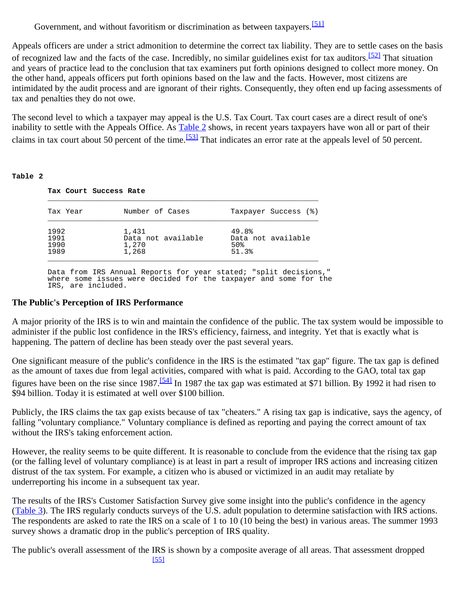Government, and without favoritism or discrimination as between taxpayers.<sup>[\[51\]](#page-16-1)</sup>

<span id="page-9-2"></span><span id="page-9-1"></span>Appeals officers are under a strict admonition to determine the correct tax liability. They are to settle cases on the basis of recognized law and the facts of the case. Incredibly, no similar guidelines exist for tax auditors.<sup>[52]</sup> That situation and years of practice lead to the conclusion that tax examiners put forth opinions designed to collect more money. On the other hand, appeals officers put forth opinions based on the law and the facts. However, most citizens are intimidated by the audit process and are ignorant of their rights. Consequently, they often end up facing assessments of tax and penalties they do not owe.

<span id="page-9-3"></span>The second level to which a taxpayer may appeal is the U.S. Tax Court. Tax court cases are a direct result of one's inability to settle with the Appeals Office. As [Table 2](#page-9-0) shows, in recent years taxpayers have won all or part of their claims in tax court about 50 percent of the time.<sup>[53]</sup> That indicates an error rate at the appeals level of 50 percent.

#### <span id="page-9-0"></span>**Table 2**

| Tax Year | Number of Cases    | Taxpayer Success (%) |
|----------|--------------------|----------------------|
| 1992     | 1,431              | 49.8%                |
| 1991     | Data not available | Data not available   |
| 1990     | 1,270              | 50%                  |
| 1989     | 1,268              | 51.3%                |

 Data from IRS Annual Reports for year stated; "split decisions," where some issues were decided for the taxpayer and some for the IRS, are included.

#### **The Public's Perception of IRS Performance**

A major priority of the IRS is to win and maintain the confidence of the public. The tax system would be impossible to administer if the public lost confidence in the IRS's efficiency, fairness, and integrity. Yet that is exactly what is happening. The pattern of decline has been steady over the past several years.

<span id="page-9-4"></span>One significant measure of the public's confidence in the IRS is the estimated "tax gap" figure. The tax gap is defined as the amount of taxes due from legal activities, compared with what is paid. According to the GAO, total tax gap figures have been on the rise since 1987.[\[54\]](#page-16-4) In 1987 the tax gap was estimated at \$71 billion. By 1992 it had risen to \$94 billion. Today it is estimated at well over \$100 billion.

Publicly, the IRS claims the tax gap exists because of tax "cheaters." A rising tax gap is indicative, says the agency, of falling "voluntary compliance." Voluntary compliance is defined as reporting and paying the correct amount of tax without the IRS's taking enforcement action.

However, the reality seems to be quite different. It is reasonable to conclude from the evidence that the rising tax gap (or the falling level of voluntary compliance) is at least in part a result of improper IRS actions and increasing citizen distrust of the tax system. For example, a citizen who is abused or victimized in an audit may retaliate by underreporting his income in a subsequent tax year.

The results of the IRS's Customer Satisfaction Survey give some insight into the public's confidence in the agency ([Table 3\)](#page-10-0). The IRS regularly conducts surveys of the U.S. adult population to determine satisfaction with IRS actions. The respondents are asked to rate the IRS on a scale of 1 to 10 (10 being the best) in various areas. The summer 1993 survey shows a dramatic drop in the public's perception of IRS quality.

The public's overall assessment of the IRS is shown by a composite average of all areas. That assessment dropped [\[55\]](#page-16-5)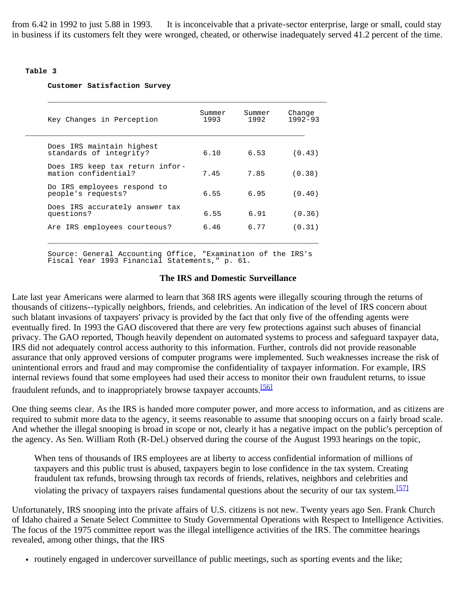<span id="page-10-1"></span>from 6.42 in 1992 to just 5.88 in 1993. It is inconceivable that a private-sector enterprise, large or small, could stay in business if its customers felt they were wronged, cheated, or otherwise inadequately served 41.2 percent of the time.

#### <span id="page-10-0"></span>**Table 3**

#### **Customer Satisfaction Survey**

| Key Changes in Perception                               | Summer<br>1993 | Summer<br>1992 | Change<br>$1992 - 93$ |
|---------------------------------------------------------|----------------|----------------|-----------------------|
| Does IRS maintain highest<br>standards of integrity?    | 6.10           | 6.53           | (0.43)                |
| Does IRS keep tax return infor-<br>mation confidential? | 7.45           | 7.85           | (0.38)                |
| Do IRS employees respond to<br>people's requests?       | 6.55           | 6.95           | (0.40)                |
| Does IRS accurately answer tax<br>questions?            | 6.55           | 6.91           | (0.36)                |
| Are IRS employees courteous?                            | 6.46           | 6.77           | (0.31)                |

 Source: General Accounting Office, "Examination of the IRS's Fiscal Year 1993 Financial Statements," p. 61.

#### **The IRS and Domestic Surveillance**

Late last year Americans were alarmed to learn that 368 IRS agents were illegally scouring through the returns of thousands of citizens--typically neighbors, friends, and celebrities. An indication of the level of IRS concern about such blatant invasions of taxpayers' privacy is provided by the fact that only five of the offending agents were eventually fired. In 1993 the GAO discovered that there are very few protections against such abuses of financial privacy. The GAO reported, Though heavily dependent on automated systems to process and safeguard taxpayer data, IRS did not adequately control access authority to this information. Further, controls did not provide reasonable assurance that only approved versions of computer programs were implemented. Such weaknesses increase the risk of unintentional errors and fraud and may compromise the confidentiality of taxpayer information. For example, IRS internal reviews found that some employees had used their access to monitor their own fraudulent returns, to issue fraudulent refunds, and to inappropriately browse taxpayer accounts.<sup>[\[56\]](#page-16-6)</sup>

<span id="page-10-2"></span>One thing seems clear. As the IRS is handed more computer power, and more access to information, and as citizens are required to submit more data to the agency, it seems reasonable to assume that snooping occurs on a fairly broad scale. And whether the illegal snooping is broad in scope or not, clearly it has a negative impact on the public's perception of the agency. As Sen. William Roth (R-Del.) observed during the course of the August 1993 hearings on the topic,

When tens of thousands of IRS employees are at liberty to access confidential information of millions of taxpayers and this public trust is abused, taxpayers begin to lose confidence in the tax system. Creating fraudulent tax refunds, browsing through tax records of friends, relatives, neighbors and celebrities and violating the privacy of taxpayers raises fundamental questions about the security of our tax system.<sup>[\[57\]](#page-16-7)</sup>

<span id="page-10-3"></span>Unfortunately, IRS snooping into the private affairs of U.S. citizens is not new. Twenty years ago Sen. Frank Church of Idaho chaired a Senate Select Committee to Study Governmental Operations with Respect to Intelligence Activities. The focus of the 1975 committee report was the illegal intelligence activities of the IRS. The committee hearings revealed, among other things, that the IRS

• routinely engaged in undercover surveillance of public meetings, such as sporting events and the like;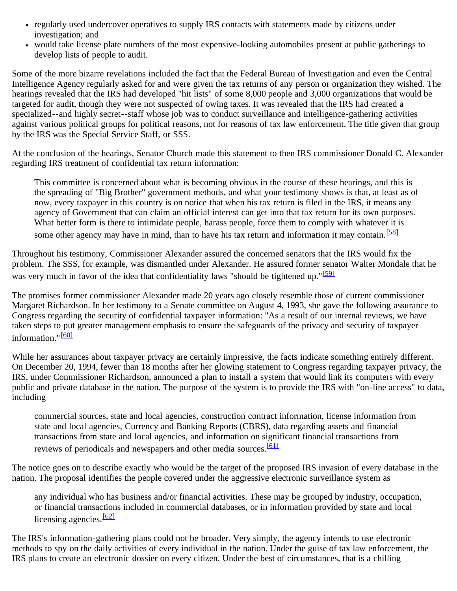- regularly used undercover operatives to supply IRS contacts with statements made by citizens under investigation; and
- would take license plate numbers of the most expensive-looking automobiles present at public gatherings to develop lists of people to audit.

Some of the more bizarre revelations included the fact that the Federal Bureau of Investigation and even the Central Intelligence Agency regularly asked for and were given the tax returns of any person or organization they wished. The hearings revealed that the IRS had developed "hit lists" of some 8,000 people and 3,000 organizations that would be targeted for audit, though they were not suspected of owing taxes. It was revealed that the IRS had created a specialized--and highly secret--staff whose job was to conduct surveillance and intelligence-gathering activities against various political groups for political reasons, not for reasons of tax law enforcement. The title given that group by the IRS was the Special Service Staff, or SSS.

At the conclusion of the hearings, Senator Church made this statement to then IRS commissioner Donald C. Alexander regarding IRS treatment of confidential tax return information:

This committee is concerned about what is becoming obvious in the course of these hearings, and this is the spreading of "Big Brother" government methods, and what your testimony shows is that, at least as of now, every taxpayer in this country is on notice that when his tax return is filed in the IRS, it means any agency of Government that can claim an official interest can get into that tax return for its own purposes. What better form is there to intimidate people, harass people, force them to comply with whatever it is some other agency may have in mind, than to have his tax return and information it may contain.<sup>[\[58\]](#page-16-8)</sup>

<span id="page-11-1"></span><span id="page-11-0"></span>Throughout his testimony, Commissioner Alexander assured the concerned senators that the IRS would fix the problem. The SSS, for example, was dismantled under Alexander. He assured former senator Walter Mondale that he was very much in favor of the idea that confidentiality laws "should be tightened up."<sup>[\[59\]](#page-16-9)</sup>

The promises former commissioner Alexander made 20 years ago closely resemble those of current commissioner Margaret Richardson. In her testimony to a Senate committee on August 4, 1993, she gave the following assurance to Congress regarding the security of confidential taxpayer information: "As a result of our internal reviews, we have taken steps to put greater management emphasis to ensure the safeguards of the privacy and security of taxpayer information."<sup>[\[60\]](#page-16-10)</sup>

<span id="page-11-2"></span>While her assurances about taxpayer privacy are certainly impressive, the facts indicate something entirely different. On December 20, 1994, fewer than 18 months after her glowing statement to Congress regarding taxpayer privacy, the IRS, under Commissioner Richardson, announced a plan to install a system that would link its computers with every public and private database in the nation. The purpose of the system is to provide the IRS with "on-line access" to data, including

commercial sources, state and local agencies, construction contract information, license information from state and local agencies, Currency and Banking Reports (CBRS), data regarding assets and financial transactions from state and local agencies, and information on significant financial transactions from reviews of periodicals and newspapers and other media sources.<sup>[\[61\]](#page-16-11)</sup>

<span id="page-11-3"></span>The notice goes on to describe exactly who would be the target of the proposed IRS invasion of every database in the nation. The proposal identifies the people covered under the aggressive electronic surveillance system as

any individual who has business and/or financial activities. These may be grouped by industry, occupation, or financial transactions included in commercial databases, or in information provided by state and local licensing agencies. $[62]$ 

<span id="page-11-4"></span>The IRS's information-gathering plans could not be broader. Very simply, the agency intends to use electronic methods to spy on the daily activities of every individual in the nation. Under the guise of tax law enforcement, the IRS plans to create an electronic dossier on every citizen. Under the best of circumstances, that is a chilling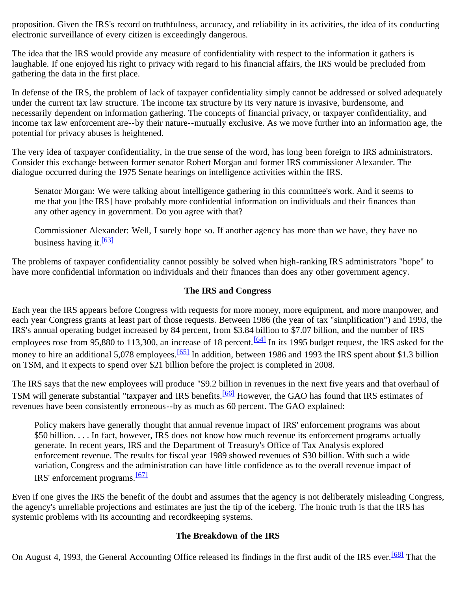proposition. Given the IRS's record on truthfulness, accuracy, and reliability in its activities, the idea of its conducting electronic surveillance of every citizen is exceedingly dangerous.

The idea that the IRS would provide any measure of confidentiality with respect to the information it gathers is laughable. If one enjoyed his right to privacy with regard to his financial affairs, the IRS would be precluded from gathering the data in the first place.

In defense of the IRS, the problem of lack of taxpayer confidentiality simply cannot be addressed or solved adequately under the current tax law structure. The income tax structure by its very nature is invasive, burdensome, and necessarily dependent on information gathering. The concepts of financial privacy, or taxpayer confidentiality, and income tax law enforcement are--by their nature--mutually exclusive. As we move further into an information age, the potential for privacy abuses is heightened.

The very idea of taxpayer confidentiality, in the true sense of the word, has long been foreign to IRS administrators. Consider this exchange between former senator Robert Morgan and former IRS commissioner Alexander. The dialogue occurred during the 1975 Senate hearings on intelligence activities within the IRS.

Senator Morgan: We were talking about intelligence gathering in this committee's work. And it seems to me that you [the IRS] have probably more confidential information on individuals and their finances than any other agency in government. Do you agree with that?

Commissioner Alexander: Well, I surely hope so. If another agency has more than we have, they have no business having it.  $\frac{[63]}{[63]}$  $\frac{[63]}{[63]}$  $\frac{[63]}{[63]}$ 

<span id="page-12-0"></span>The problems of taxpayer confidentiality cannot possibly be solved when high-ranking IRS administrators "hope" to have more confidential information on individuals and their finances than does any other government agency.

#### **The IRS and Congress**

<span id="page-12-1"></span>Each year the IRS appears before Congress with requests for more money, more equipment, and more manpower, and each year Congress grants at least part of those requests. Between 1986 (the year of tax "simplification") and 1993, the IRS's annual operating budget increased by 84 percent, from \$3.84 billion to \$7.07 billion, and the number of IRS employees rose from 95,880 to 113,300, an increase of 18 percent.  $[64]$  In its 1995 budget request, the IRS asked for the money to hire an additional 5,078 employees.<sup>[65]</sup> In addition, between 1986 and 1993 the IRS spent about \$1.3 billion on TSM, and it expects to spend over \$21 billion before the project is completed in 2008.

<span id="page-12-3"></span><span id="page-12-2"></span>The IRS says that the new employees will produce "\$9.2 billion in revenues in the next five years and that overhaul of TSM will generate substantial "taxpayer and IRS benefits.<sup>[66]</sup> However, the GAO has found that IRS estimates of revenues have been consistently erroneous--by as much as 60 percent. The GAO explained:

Policy makers have generally thought that annual revenue impact of IRS' enforcement programs was about \$50 billion. . . . In fact, however, IRS does not know how much revenue its enforcement programs actually generate. In recent years, IRS and the Department of Treasury's Office of Tax Analysis explored enforcement revenue. The results for fiscal year 1989 showed revenues of \$30 billion. With such a wide variation, Congress and the administration can have little confidence as to the overall revenue impact of IRS' enforcement programs.[\[67\]](#page-16-17)

<span id="page-12-4"></span>Even if one gives the IRS the benefit of the doubt and assumes that the agency is not deliberately misleading Congress, the agency's unreliable projections and estimates are just the tip of the iceberg. The ironic truth is that the IRS has systemic problems with its accounting and recordkeeping systems.

# **The Breakdown of the IRS**

<span id="page-12-5"></span>On August 4, 1993, the General Accounting Office released its findings in the first audit of the IRS ever.<sup>[68]</sup> That the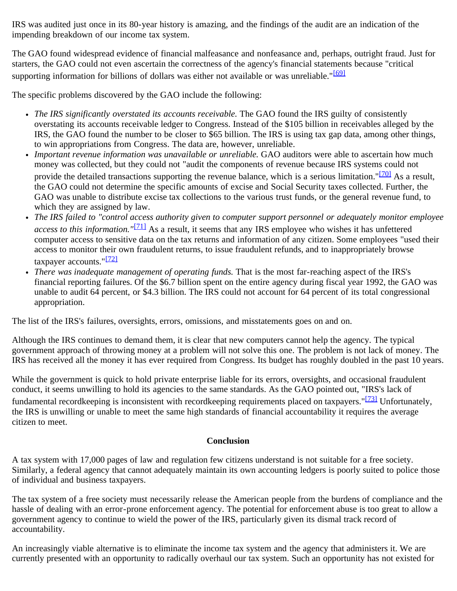IRS was audited just once in its 80-year history is amazing, and the findings of the audit are an indication of the impending breakdown of our income tax system.

<span id="page-13-0"></span>The GAO found widespread evidence of financial malfeasance and nonfeasance and, perhaps, outright fraud. Just for starters, the GAO could not even ascertain the correctness of the agency's financial statements because "critical supporting information for billions of dollars was either not available or was unreliable."<sup>[\[69\]](#page-16-19)</sup>

The specific problems discovered by the GAO include the following:

- *The IRS significantly overstated its accounts receivable.* The GAO found the IRS guilty of consistently overstating its accounts receivable ledger to Congress. Instead of the \$105 billion in receivables alleged by the IRS, the GAO found the number to be closer to \$65 billion. The IRS is using tax gap data, among other things, to win appropriations from Congress. The data are, however, unreliable.
- <span id="page-13-1"></span>*Important revenue information was unavailable or unreliable.* GAO auditors were able to ascertain how much money was collected, but they could not "audit the components of revenue because IRS systems could not provide the detailed transactions supporting the revenue balance, which is a serious limitation."<sup>[70]</sup> As a result, the GAO could not determine the specific amounts of excise and Social Security taxes collected. Further, the GAO was unable to distribute excise tax collections to the various trust funds, or the general revenue fund, to which they are assigned by law.
- <span id="page-13-2"></span>*The IRS failed to "control access authority given to computer support personnel or adequately monitor employee access to this information."*[\[71\]](#page-16-21) As a result, it seems that any IRS employee who wishes it has unfettered computer access to sensitive data on the tax returns and information of any citizen. Some employees "used their access to monitor their own fraudulent returns, to issue fraudulent refunds, and to inappropriately browse taxpayer accounts." $\frac{[72]}{[72]}$  $\frac{[72]}{[72]}$  $\frac{[72]}{[72]}$
- <span id="page-13-3"></span>*There was inadequate management of operating funds.* That is the most far-reaching aspect of the IRS's financial reporting failures. Of the \$6.7 billion spent on the entire agency during fiscal year 1992, the GAO was unable to audit 64 percent, or \$4.3 billion. The IRS could not account for 64 percent of its total congressional appropriation.

The list of the IRS's failures, oversights, errors, omissions, and misstatements goes on and on.

Although the IRS continues to demand them, it is clear that new computers cannot help the agency. The typical government approach of throwing money at a problem will not solve this one. The problem is not lack of money. The IRS has received all the money it has ever required from Congress. Its budget has roughly doubled in the past 10 years.

<span id="page-13-4"></span>While the government is quick to hold private enterprise liable for its errors, oversights, and occasional fraudulent conduct, it seems unwilling to hold its agencies to the same standards. As the GAO pointed out, "IRS's lack of fundamental recordkeeping is inconsistent with recordkeeping requirements placed on taxpayers."<sup>[73]</sup> Unfortunately, the IRS is unwilling or unable to meet the same high standards of financial accountability it requires the average citizen to meet.

# **Conclusion**

A tax system with 17,000 pages of law and regulation few citizens understand is not suitable for a free society. Similarly, a federal agency that cannot adequately maintain its own accounting ledgers is poorly suited to police those of individual and business taxpayers.

The tax system of a free society must necessarily release the American people from the burdens of compliance and the hassle of dealing with an error-prone enforcement agency. The potential for enforcement abuse is too great to allow a government agency to continue to wield the power of the IRS, particularly given its dismal track record of accountability.

An increasingly viable alternative is to eliminate the income tax system and the agency that administers it. We are currently presented with an opportunity to radically overhaul our tax system. Such an opportunity has not existed for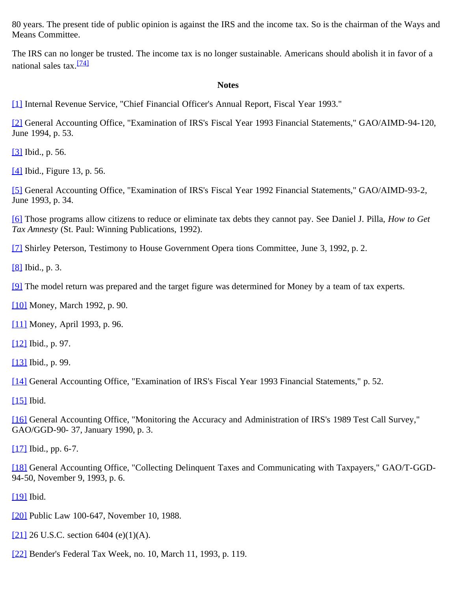80 years. The present tide of public opinion is against the IRS and the income tax. So is the chairman of the Ways and Means Committee.

<span id="page-14-22"></span>The IRS can no longer be trusted. The income tax is no longer sustainable. Americans should abolish it in favor of a national sales tax.<sup>[\[74\]](#page-17-0)</sup>

#### **Notes**

<span id="page-14-0"></span>[\[1\]](#page-0-0) Internal Revenue Service, "Chief Financial Officer's Annual Report, Fiscal Year 1993."

<span id="page-14-1"></span>[\[2\]](#page-1-0) General Accounting Office, "Examination of IRS's Fiscal Year 1993 Financial Statements," GAO/AIMD-94-120, June 1994, p. 53.

<span id="page-14-2"></span>[\[3\]](#page-1-1) Ibid., p. 56.

<span id="page-14-3"></span>[\[4\]](#page-2-1) Ibid., Figure 13, p. 56.

<span id="page-14-4"></span>[\[5\]](#page-2-2) General Accounting Office, "Examination of IRS's Fiscal Year 1992 Financial Statements," GAO/AIMD-93-2, June 1993, p. 34.

<span id="page-14-5"></span>[\[6\]](#page-2-3) Those programs allow citizens to reduce or eliminate tax debts they cannot pay. See Daniel J. Pilla, *How to Get Tax Amnesty* (St. Paul: Winning Publications, 1992).

<span id="page-14-6"></span>[\[7\]](#page-2-4) Shirley Peterson, Testimony to House Government Opera tions Committee, June 3, 1992, p. 2.

<span id="page-14-7"></span>[\[8\]](#page-2-5) Ibid., p. 3.

<span id="page-14-8"></span>[\[9\]](#page-2-6) The model return was prepared and the target figure was determined for Money by a team of tax experts.

<span id="page-14-9"></span>[\[10\]](#page-3-0) Money, March 1992, p. 90.

<span id="page-14-10"></span>[\[11\]](#page-3-1) Money, April 1993, p. 96.

<span id="page-14-11"></span>[\[12\]](#page-3-2) Ibid., p. 97.

<span id="page-14-12"></span>[\[13\]](#page-3-3) Ibid., p. 99.

<span id="page-14-13"></span>[\[14\]](#page-3-4) General Accounting Office, "Examination of IRS's Fiscal Year 1993 Financial Statements," p. 52.

<span id="page-14-14"></span>[\[15\]](#page-3-5) Ibid.

<span id="page-14-15"></span>[\[16\]](#page-3-6) General Accounting Office, "Monitoring the Accuracy and Administration of IRS's 1989 Test Call Survey," GAO/GGD-90- 37, January 1990, p. 3.

<span id="page-14-16"></span>[\[17\]](#page-3-7) Ibid., pp. 6-7.

<span id="page-14-17"></span>[\[18\]](#page-4-0) General Accounting Office, "Collecting Delinquent Taxes and Communicating with Taxpayers," GAO/T-GGD-94-50, November 9, 1993, p. 6.

<span id="page-14-18"></span>[\[19\]](#page-4-1) Ibid.

<span id="page-14-19"></span>[\[20\]](#page-4-2) Public Law 100-647, November 10, 1988.

<span id="page-14-20"></span>[\[21\]](#page-4-3) 26 U.S.C. section 6404 (e)(1)(A).

<span id="page-14-21"></span>[\[22\]](#page-5-0) Bender's Federal Tax Week, no. 10, March 11, 1993, p. 119.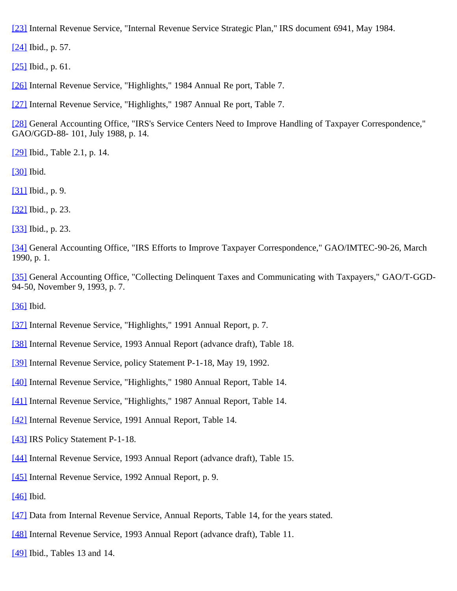<span id="page-15-0"></span>[\[23\]](#page-5-1) Internal Revenue Service, "Internal Revenue Service Strategic Plan," IRS document 6941, May 1984.

<span id="page-15-1"></span>[\[24\]](#page-5-2) Ibid., p. 57.

<span id="page-15-2"></span>[\[25\]](#page-5-2) Ibid., p. 61.

<span id="page-15-3"></span>[\[26\]](#page-5-3) Internal Revenue Service, "Highlights," 1984 Annual Re port, Table 7.

<span id="page-15-4"></span>[\[27\]](#page-5-4) Internal Revenue Service, "Highlights," 1987 Annual Re port, Table 7.

<span id="page-15-5"></span>[\[28\]](#page-5-5) General Accounting Office, "IRS's Service Centers Need to Improve Handling of Taxpayer Correspondence," GAO/GGD-88- 101, July 1988, p. 14.

<span id="page-15-6"></span>[\[29\]](#page-5-6) Ibid., Table 2.1, p. 14.

<span id="page-15-7"></span>[\[30\]](#page-5-7) Ibid.

<span id="page-15-8"></span>[\[31\]](#page-5-8) Ibid., p. 9.

<span id="page-15-9"></span>[\[32\]](#page-6-0) Ibid., p. 23.

<span id="page-15-10"></span>[\[33\]](#page-6-1) Ibid., p. 23.

<span id="page-15-11"></span>[\[34\]](#page-6-2) General Accounting Office, "IRS Efforts to Improve Taxpayer Correspondence," GAO/IMTEC-90-26, March 1990, p. 1.

<span id="page-15-12"></span>[\[35\]](#page-6-3) General Accounting Office, "Collecting Delinquent Taxes and Communicating with Taxpayers," GAO/T-GGD-94-50, November 9, 1993, p. 7.

<span id="page-15-13"></span>[\[36\]](#page-6-4) Ibid.

- <span id="page-15-14"></span>[\[37\]](#page-6-5) Internal Revenue Service, "Highlights," 1991 Annual Report, p. 7.
- <span id="page-15-15"></span>[\[38\]](#page-6-6) Internal Revenue Service, 1993 Annual Report (advance draft), Table 18.
- <span id="page-15-16"></span>[\[39\]](#page-7-1) Internal Revenue Service, policy Statement P-1-18, May 19, 1992.
- <span id="page-15-17"></span>[\[40\]](#page-7-2) Internal Revenue Service, "Highlights," 1980 Annual Report, Table 14.
- <span id="page-15-18"></span>[\[41\]](#page-7-3) Internal Revenue Service, "Highlights," 1987 Annual Report, Table 14.
- <span id="page-15-19"></span>[\[42\]](#page-7-4) Internal Revenue Service, 1991 Annual Report, Table 14.
- <span id="page-15-20"></span>[\[43\]](#page-7-5) IRS Policy Statement P-1-18.
- <span id="page-15-21"></span>[\[44\]](#page-7-6) Internal Revenue Service, 1993 Annual Report (advance draft), Table 15.
- <span id="page-15-22"></span>[\[45\]](#page-7-7) Internal Revenue Service, 1992 Annual Report, p. 9.
- <span id="page-15-23"></span>[\[46\]](#page-7-8) Ibid.
- <span id="page-15-24"></span>[\[47\]](#page-8-0) Data from Internal Revenue Service, Annual Reports, Table 14, for the years stated.
- <span id="page-15-25"></span>[\[48\]](#page-8-1) Internal Revenue Service, 1993 Annual Report (advance draft), Table 11.

<span id="page-15-26"></span>[\[49\]](#page-8-2) Ibid., Tables 13 and 14.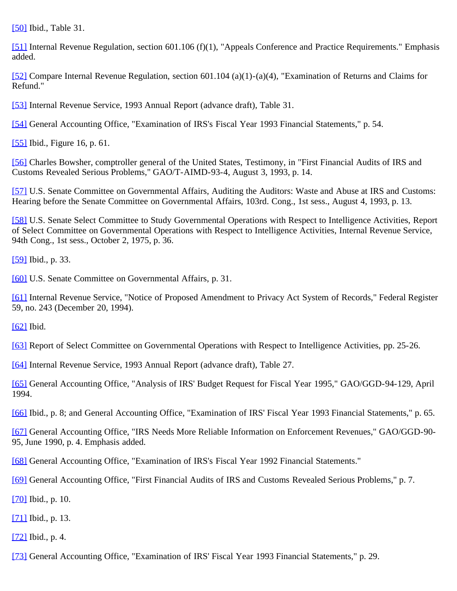<span id="page-16-0"></span>[\[50\]](#page-8-2) Ibid., Table 31.

<span id="page-16-1"></span>[\[51\]](#page-9-1) Internal Revenue Regulation, section 601.106 (f)(1), "Appeals Conference and Practice Requirements." Emphasis added.

<span id="page-16-2"></span>[\[52\]](#page-9-2) Compare Internal Revenue Regulation, section 601.104 (a)(1)-(a)(4), "Examination of Returns and Claims for Refund."

<span id="page-16-3"></span>[\[53\]](#page-9-3) Internal Revenue Service, 1993 Annual Report (advance draft), Table 31.

<span id="page-16-4"></span>[\[54\]](#page-9-4) General Accounting Office, "Examination of IRS's Fiscal Year 1993 Financial Statements," p. 54.

<span id="page-16-5"></span>[\[55\]](#page-10-1) Ibid., Figure 16, p. 61.

<span id="page-16-6"></span>[\[56\]](#page-10-2) Charles Bowsher, comptroller general of the United States, Testimony, in "First Financial Audits of IRS and Customs Revealed Serious Problems," GAO/T-AIMD-93-4, August 3, 1993, p. 14.

<span id="page-16-7"></span>[\[57\]](#page-10-3) U.S. Senate Committee on Governmental Affairs, Auditing the Auditors: Waste and Abuse at IRS and Customs: Hearing before the Senate Committee on Governmental Affairs, 103rd. Cong., 1st sess., August 4, 1993, p. 13.

<span id="page-16-8"></span>[\[58\]](#page-11-0) U.S. Senate Select Committee to Study Governmental Operations with Respect to Intelligence Activities, Report of Select Committee on Governmental Operations with Respect to Intelligence Activities, Internal Revenue Service, 94th Cong., 1st sess., October 2, 1975, p. 36.

<span id="page-16-9"></span>[\[59\]](#page-11-1) Ibid., p. 33.

<span id="page-16-10"></span>[\[60\]](#page-11-2) U.S. Senate Committee on Governmental Affairs, p. 31.

<span id="page-16-11"></span>[\[61\]](#page-11-3) Internal Revenue Service, "Notice of Proposed Amendment to Privacy Act System of Records," Federal Register 59, no. 243 (December 20, 1994).

<span id="page-16-12"></span> $[62]$  Ibid.

<span id="page-16-13"></span>[\[63\]](#page-12-0) Report of Select Committee on Governmental Operations with Respect to Intelligence Activities, pp. 25-26.

<span id="page-16-14"></span>[\[64\]](#page-12-1) Internal Revenue Service, 1993 Annual Report (advance draft), Table 27.

<span id="page-16-15"></span>[\[65\]](#page-12-2) General Accounting Office, "Analysis of IRS' Budget Request for Fiscal Year 1995," GAO/GGD-94-129, April 1994.

<span id="page-16-16"></span>[\[66\]](#page-12-3) Ibid., p. 8; and General Accounting Office, "Examination of IRS' Fiscal Year 1993 Financial Statements," p. 65.

<span id="page-16-17"></span>[\[67\]](#page-12-4) General Accounting Office, "IRS Needs More Reliable Information on Enforcement Revenues," GAO/GGD-90- 95, June 1990, p. 4. Emphasis added.

<span id="page-16-18"></span>[\[68\]](#page-12-5) General Accounting Office, "Examination of IRS's Fiscal Year 1992 Financial Statements."

<span id="page-16-19"></span>[\[69\]](#page-13-0) General Accounting Office, "First Financial Audits of IRS and Customs Revealed Serious Problems," p. 7.

<span id="page-16-20"></span>[\[70\]](#page-13-1) Ibid., p. 10.

<span id="page-16-21"></span>[\[71\]](#page-13-2) Ibid., p. 13.

<span id="page-16-22"></span>[\[72\]](#page-13-3) Ibid., p. 4.

<span id="page-16-23"></span>[\[73\]](#page-13-4) General Accounting Office, "Examination of IRS' Fiscal Year 1993 Financial Statements," p. 29.